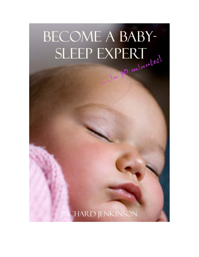# **BECOME A BABY-**SLEEP EXPERT

**RICHARD JENKINSON**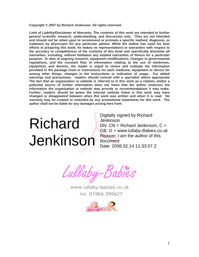**Copyright © 2007 by Richard Jenkinson. All rights reserved.** 

**Limit of Liability/Disclaimer of Warranty: The contents of this work are intended to further general scientific research, understanding, and discussion only. They are not intended and should not be relied upon to recommend or promote a specific method, diagnosis, or treatment by physicians for any particular patient. While the author has used his best efforts in preparing this book, he makes no representations or warranties with respect to the accuracy or completeness of the contents of this book and specifically disclaims all warranties, including, without limitation any implied warranties of fitness for a particular purpose. In view of ongoing research, equipment modifications, changes in governmental regulations, and the constant flow of information relating to the use of medicines, equipment, and devices, the reader is urged to review and evaluate the information provided in the package inset or instructions for each medicine, equipment or device for among other things, changes in the instructions or indication of usage. For added warnings and precautions, readers should consult with a specialist where appropriate The fact that an organization or website is referred to in this work as a citation, and/or a potential source of further information does not mean that the author endorses the information the organization or website may provide or recommendations it may make. Further, readers should be aware the internet website listed in this work may have changed or disappeared between when this work was written and when it is read. No warranty may be created or extended by any promotional statements for this work. The author shall not be liable for any damages arising here from.** 

## Richard Jenkinson

Digitally signed by Richard Jenkinson  $DN: CN = Richard$  Jenkinson,  $C =$ GB, O = www.lullaby-Babies.co.uk Reason: I am the author of this document Date: 2008.02.14 11:33:57 Z

Lullaby-Babies

www.lullaby-babies.co.uk tel: 01904 299627

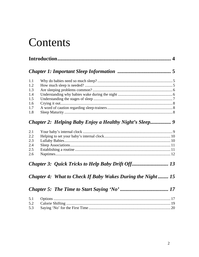### Contents

| 1.1 |                                                                   |  |
|-----|-------------------------------------------------------------------|--|
| 1.2 |                                                                   |  |
| 1.3 |                                                                   |  |
| 1.4 |                                                                   |  |
| 1.5 |                                                                   |  |
| 1.6 |                                                                   |  |
| 1.7 |                                                                   |  |
| 1.8 |                                                                   |  |
|     |                                                                   |  |
|     | <b>Chapter 2: Helping Baby Enjoy a Healthy Night's Sleep 9</b>    |  |
| 2.1 |                                                                   |  |
| 2.2 |                                                                   |  |
| 2.3 |                                                                   |  |
| 2.4 |                                                                   |  |
| 2.5 |                                                                   |  |
| 2.6 |                                                                   |  |
|     |                                                                   |  |
|     | <b>Chapter 4: What to Check If Baby Wakes During the Night 15</b> |  |
|     |                                                                   |  |
| 5.1 |                                                                   |  |
| 5.2 |                                                                   |  |
| 5.3 |                                                                   |  |
|     |                                                                   |  |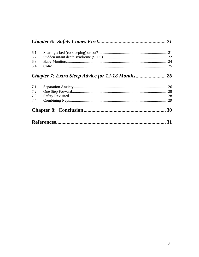|--|--|--|--|

### Chapter 7: Extra Sleep Advice for 12-18 Months........................ 26

| 7.1 |  |  |  |
|-----|--|--|--|
| 7.2 |  |  |  |
| 7.3 |  |  |  |
| 7.4 |  |  |  |
|     |  |  |  |
|     |  |  |  |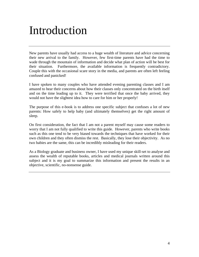### Introduction

New parents have usually had access to a huge wealth of literature and advice concerning their new arrival to the family. However, few first-time parents have had the time to wade through the mountain of information and decide what plan of action will be best for their situation. Furthermore, the available information is frequently contradictory. Couple this with the occasional scare story in the media, and parents are often left feeling confused and panicked!

I have spoken to many couples who have attended evening parenting classes and I am amazed to hear their concerns about how their classes only concentrated on the birth itself and on the time leading up to it. They were terrified that once the baby arrived, they would not have the slightest idea how to care for him or her properly!

The purpose of this e-book is to address one specific subject that confuses a lot of new parents: How safely to help baby (and ultimately themselves) get the right amount of sleep.

On first consideration, the fact that I am not a parent myself may cause some readers to worry that I am not fully qualified to write this guide. However, parents who write books such as this one tend to be very biased towards the techniques that have worked for their own children and they often dismiss the rest. Basically, they lose their objectivity. As no two babies are the same, this can be incredibly misleading for their readers.

As a Biology graduate and business owner, I have used my unique skill-set to analyse and assess the wealth of reputable books, articles and medical journals written around this subject and it is my goal to summarize this information and present the results in an objective, scientific, no-nonsense guide.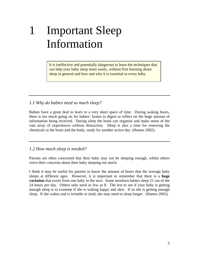### 1 Important Sleep Information

It is ineffective and potentially dangerous to learn the techniques that can help your baby sleep more easily, without first learning about sleep in general and how and why it is essential to every baby.

#### *1.1 Why do babies need so much sleep?*

Babies have a great deal to learn in a very short space of time. During waking hours, there is too much going on for babies' brains to digest or reflect on the huge amount of information being received. During sleep the brain can organise and make sense of the vast array of experiences without distraction. Sleep is also a time for renewing the chemicals in the brain and the body, ready for another active day. (Hames 2002).

*1.2 How much sleep is needed?* 

Parents are often concerned that their baby may not be sleeping enough, whilst others voice their concerns about their baby sleeping too much.

I think it may be useful for parents to know the amount of hours that the average baby sleeps at different ages. However, it is important to remember that there is a **huge variation** that exists from one baby to the next. Some newborn babies sleep 21 out of the 24 hours per day. Others only need as few as 8. The test to see if your baby is getting enough sleep is to examine if she is waking happy and alert. If so she is getting enough sleep. If she wakes and is irritable or tired, she may need to sleep longer. (Hames 2002).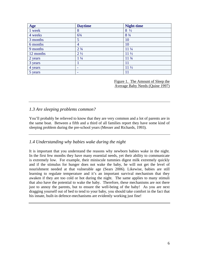| Age       | <b>Daytime</b>                | <b>Night-time</b> |
|-----------|-------------------------------|-------------------|
| 1 week    | 8                             | $8\frac{1}{2}$    |
| 4 weeks   | $6\frac{3}{4}$                | $8\frac{3}{4}$    |
| 3 months  | 5                             | 10                |
| 6 months  | 4                             | 10                |
| 9 months  | 2 <sup>3</sup> / <sub>4</sub> | $11\frac{1}{4}$   |
| 12 months | $2\frac{1}{2}$                | $11\frac{1}{2}$   |
| 2 years   | $1\frac{1}{4}$                | $11 \frac{3}{4}$  |
| 3 years   |                               | 11                |
| 4 years   |                               | $11\frac{1}{2}$   |
| 5 years   | -                             | 11                |

Figure 1. The Amount of Sleep the Average Baby Needs (Quine 1997)

### *1.3 Are sleeping problems common?*

You'll probably be relieved to know that they are very common and a lot of parents are in the same boat. Between a fifth and a third of all families report they have some kind of sleeping problem during the pre-school years (Messer and Richards, 1993).

### *1.4 Understanding why babies wake during the night*

It is important that you understand the reasons why newborn babies wake in the night. In the first few months they have many essential needs, yet their ability to communicate is extremely low. For example, their miniscule tummies digest milk extremely quickly and if the stimulus for hunger does not wake the baby, he will not get the level of nourishment needed at that vulnerable age (Sears 2006). Likewise, babies are still learning to regulate temperature and it's an important survival mechanism that they awaken if they are too cold or hot during the night. The same applies to many stimuli that also have the potential to wake the baby. Therefore, these mechanisms are not there just to annoy the parents, but to ensure the well-being of the baby! As you are next dragging yourself out of bed to tend to your baby, you should take comfort in the fact that his innate, built-in defence-mechanisms are evidently working just fine!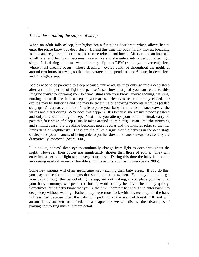### *1.5 Understanding the stages of sleep*

When an adult falls asleep, her higher brain functions decelerate which allows her to enter the phase known as deep sleep. During this time her body hardly moves, breathing is slow and regular, and her muscles become relaxed and loose. After around an hour and a half later and her brain becomes more active and she enters into a period called light sleep. It is during this time when she may slip into REM (rapid-eye-movement) sleep where most dreams occur. These deep/light cycles continue throughout the night, at around two hours intervals, so that the average adult spends around 6 hours in deep sleep and 2 in light sleep.

Babies need to be parented to sleep because, unlike adults, they only go into a deep sleep after an initial period of light sleep. Let's see how many of you can relate to this: Imagine you're performing your bedtime ritual with your baby: you're rocking, walking, nursing etc until she falls asleep in your arms. Her eyes are completely closed, her eyelids may be fluttering and she may be twitching or showing momentary smiles (called sleep grins). Just as you think it's safe to place your baby in her crib and sneak away, she wakes and starts crying! Why does this happen? It's because she wasn't properly asleep and only in a state of light sleep. Next time you attempt your bedtime ritual, carry on past this first stage of sleep (usually takes around 20 minutes). Wait until the twitching and smiling cease, the breathing becomes more regular and the muscles relax so that her limbs dangle weightlessly. These are the tell-tale signs that the baby is in the deep stage of sleep and your chances of being able to put her down and sneak away successfully are dramatically improved (Sears 2006).

Like adults, babies' sleep cycles continually change from light to deep throughout the night. However, their cycles are significantly shorter than those of adults. They will enter into a period of light sleep every hour or so. During this time the baby is prone to awakening easily if an uncomfortable stimulus occurs, such as hunger (Sears 2006).

Some new parents will often spend time just watching their baby sleep. If you do this, you may notice the tell tale signs that she is about to awaken. You may be able to get your baby through this period of light sleep, without waking, if you place your hand on your baby's tummy, whisper a comforting word or play her favourite lullaby quietly. Sometimes letting baby know that you're there will comfort her enough to enter back into deep sleep without waking. Fathers may have more luck with this technique if the baby is breast fed because often the baby will pick up on the scent of breast milk and will automatically awaken for a feed. In a chapter 2.3 we will discuss the advantages of playing comforting music in more detail.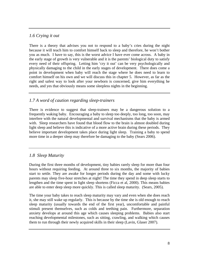### *1.6 Crying it out*

There is a theory that advises you not to respond to a baby's cries during the night because it will teach him to comfort himself back to sleep and therefore, he won't bother you as much. I have to say, this is the worst advice I have ever come across. A baby in the early stage of growth is very vulnerable and it is the parents' biological duty to satisfy every need of their offspring. Letting him 'cry it out' can be very psychologically and physically damaging to the child in the early stages of development. There does come a point in development when baby will reach the stage where he does need to learn to comfort himself on his own and we will discuss this in chapter 5. However, as far as the right and safest way to look after your newborn is concerned, give him everything he needs, and yes that obviously means some sleepless nights in the beginning.

### *1.7 A word of caution regarding sleep-trainers*

There is evidence to suggest that sleep-trainers may be a dangerous solution to a frequently waking baby. Encouraging a baby to sleep too deeply, too long, too soon, may interfere with the natural developmental and survival mechanisms that the baby is armed with. Sleep researchers have found that blood flow to the brain is almost doubled during light sleep and believe this is indicative of a more active brain during these periods. They believe important development takes place during light sleep. Training a baby to spend more time in a deeper sleep may therefore be damaging to the baby (Sears 2006).

### *1.8 Sleep Maturity*

During the first three months of development, tiny babies rarely sleep for more than four hours without requiring feeding. At around three to six months, the majority of babies start to settle. They are awake for longer periods during the day and some with lucky parents may sleep five-hour stretches at night! The time they spend in deep sleep starts to lengthen and the time spent in light sleep shortens (Ficca et al, 2000). This means babies are able to enter deep sleep more quickly. This is called sleep maturity. (Sears, 2005).

The time your baby takes to reach sleep maturity may vary and even when she does reach it, she may still wake up regularly. This is because by the time she is old enough to reach sleep maturity (usually towards the end of the first year), uncomfortable and painful stimuli present themselves, such as colds and teething pain. Furthermore, separation anxiety develops at around this age which causes sleeping problems. Babies also start reaching developmental milestones, such as sitting, crawling, and walking which causes them to run through their newly acquired skills in their sleep (Lavin, Glaser 2007).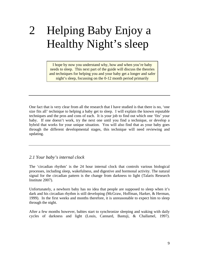### 2 Helping Baby Enjoy a Healthy Night's sleep

I hope by now you understand why, how and when you're baby needs to sleep. This next part of the guide will discuss the theories and techniques for helping you and your baby get a longer and safer night's sleep, focussing on the 0-12 month period primarily

One fact that is very clear from all the research that I have studied is that there is no, 'one size fits all' technique to helping a baby get to sleep. I will explain the known reputable techniques and the pros and cons of each. It is your job to find out which one 'fits' your baby. If one doesn't work, try the next one until you find a technique, or develop a hybrid that works for your unique situation. You will also find that as your baby goes through the different developmental stages, this technique will need reviewing and updating.

#### *2.1 Your baby's internal clock*

The 'circadian rhythm' is the 24 hour internal clock that controls various biological processes, including sleep, wakefulness, and digestive and hormonal activity. The natural signal for the circadian pattern is the change from darkness to light (Talaris Research Institute 2007).

Unfortunately, a newborn baby has no idea that people are supposed to sleep when it's dark and his circadian rhythm is still developing (McGraw, Hoffman, Harker, & Herman, 1999). In the first weeks and months therefore, it is unreasonable to expect him to sleep through the night.

After a few months however, babies start to synchronize sleeping and waking with daily cycles of darkness and light (Louis, Cannard, Bastuji, & Challamel, 1997).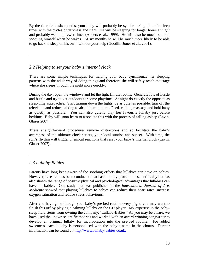By the time he is six months, your baby will probably be synchronizing his main sleep times with the cycles of darkness and light. He will be sleeping for longer hours at night and probably wake up fewer times (Anders et al., 1999). He will also be much better at soothing himself when he wakes. At six months he will be much more likely to be able to go back to sleep on his own, without your help (Goodlin-Jones et al., 2001).

### *2.2 Helping to set your baby's internal clock*

There are some simple techniques for helping your baby synchronize her sleeping patterns with the adult way of doing things and therefore she will safely reach the stage where she sleeps through the night more quickly.

During the day, open the windows and let the light fill the rooms. Generate lots of hustle and bustle and try to get outdoors for some playtime. At night do exactly the opposite as sleep-time approaches. Start turning down the lights, be as quiet as possible, turn off the television and reduce talking to absolute minimum. Feed, cuddle, massage and hold baby as quietly as possible. You can also quietly play her favourite lullaby just before bedtime. Baby will soon learn to associate this with the process of falling asleep (Lavin, Glaser 2007).

These straightforward procedures remove distractions and so facilitate the baby's awareness of the ultimate clock-setters, your local sunrise and sunset. With time, the sun's rhythm will trigger chemical reactions that reset your baby's internal clock (Lavin, Glaser 2007).

### *2.3 Lullaby-Babies*

Parents have long been aware of the soothing effects that lullabies can have on babies. However, research has been conducted that has not only proved this scientifically but has also shown the range of positive physical and psychological advantages that lullabies can have on babies. One study that was published in the *International Journal of Arts Medicine* showed that playing lullabies to babies can reduce their heart rates, increase oxygen saturation and reduce stress behaviours.

After you have gone through your baby's pre-bed routine every night, you may want to finish this off by playing a calming lullaby on the CD player. My expertise in the babysleep field stems from owning the company, 'Lullaby-Babies.' As you may be aware, we have used the known scientific theories and worked with an award-winning songwriter to develop an original lullaby for incorporation into the pre-bed routine. For added sweetness, each lullaby is personalised with the baby's name in the chorus. Further information can be found at: http://www.lullaby-babies.co.uk.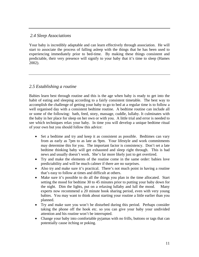#### *2.4 Sleep Associations*

Your baby is incredibly adaptable and can learn effectively through association. He will start to associate the process of falling asleep with the things that he has been used to experiencing immediately prior to bed-time. By making these things consistent and predictable, their very presence will signify to your baby that it's time to sleep (Hames 2002).

#### *2.5 Establishing a routine*

Babies learn best through routine and this is the age when baby is ready to get into the habit of eating and sleeping according to a fairly consistent timetable. The best way to accomplish the challenge of getting your baby to go to bed at a regular time is to follow a well organised day with a consistent bedtime routine. A bedtime routine can include all or some of the following: bath, feed, story, massage, cuddle, lullaby. It culminates with the baby in her place for sleep on her own or with you. A little trial and error is needed to see which techniques relax your baby. In time you will develop a unique bedtime ritual of your own but you should follow this advice:

- Set a bedtime and try and keep it as consistent as possible. Bedtimes can vary from as early as 7pm to as late as 9pm. Your lifestyle and work commitments may determine this for you. The important factor is consistency. Don't set a late bedtime thinking baby will get exhausted and sleep right through. This is bad news and usually doesn't work. She's far more likely just to get overtired.
- Try and make the elements of the routine come in the same order: babies love predictability and will be much calmer if there are no surprises.
- Also try and make sure it's practical. There's not much point in having a routine that's easy to follow at times and difficult at others.
- Make sure it's possible to do all the things you plan in the time allocated. Start setting the mood for bedtime 30 to 45 minutes prior to putting your baby down for the night. Dim the lights, put on a relaxing lullaby and lull the mood. Many experts now recommend a 20 minute book sharing period, even with very young babies. You may want to think about starting your routine a little earlier than you planned.
- Try and make sure you won't be disturbed during this period. Perhaps consider taking the phone off the hook etc. so you can give your baby your undivided attention and his routine won't be interrupted.
- Change your baby into comfortable pyjamas with no frills, buttons or tags that can potentially cause itching or poking.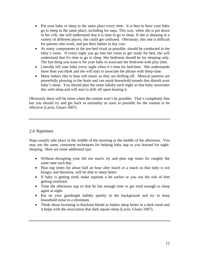- Put your baby to sleep in the same place every time. It is best to have your baby go to sleep in the same place, including for naps. This way, when she is put down in her crib, she will understand that it is time to go to sleep. If she is sleeping in a variety of different places, she could get confused. Obviously, this one is difficult for parents who work, and put their babies in day care.
- As many components to the pre-bed ritual as possible, should be conducted in the baby's room. If every night you go into her room to get ready for bed, she will understand that it's time to go to sleep. Her bedroom should be for sleeping only. The last thing you want is for your baby to associate her bedroom with play time.
- Literally tell your baby every night when it's time for bed-time. She understands more than you think and she will start to associate the phrase with sleep-time.
- Many babies like to hear soft music as they are drifting off. Musical patterns are powerfully pleasing to the brain and can mask household sounds that disturb your baby's sleep. You should play the same lullaby each night so that baby associates this with sleep and will start to drift off upon hearing it.

Obviously there will be times when the routine won't be possible. That's completely fine but you should try and get back to normality as soon as possible for the routine to be effective (Lavin, Glaser 2007).

### *2.6 Naptimes*

Naps usually take place in the middle of the morning or the middle of the afternoon. You may use the same, consistent techniques for helping baby nap as you learned for nightsleeping. Here are some additional tips:

- Without disrupting your life too much, try and plan nap times for roughly the same time each day.
- Plan nap times for about half an hour after lunch or a snack so that baby is not hungry and therefore, will be able to sleep better.
- If baby is getting tired, make naptime a bit earlier or you run the risk of him getting overtired.
- Time the afternoon nap so that he has enough time to get tired enough to sleep again at night.
- Put on your goodnight lullaby quietly in the background and try to keep household noise to a minimum.
- Think about investing in blackout blinds as babies sleep better in a dark room and it helps with the association that dark equals sleep (Lavin, Glaser 2007).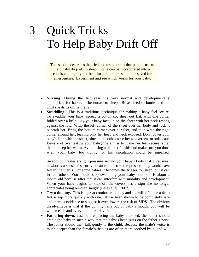### 3 Quick Tricks To Help Baby Drift Off

This section describes the tried and tested tricks that parents use to help baby drop off to sleep. Some can be incorporated into a consistent, nightly pre-bed ritual but others should be saved for emergencies. Experiment and see which works for your baby.

- **Nursing.** During the fist year it's very normal and developmentally appropriate for babies to be nursed to sleep. Breast feed or bottle feed her until she drifts off naturally.
- **Swaddling.** This is a traditional technique for making a baby feel secure. To swaddle your baby, spread a cotton cot sheet out flat, with one corner folded over a little. Lay your baby face up on the sheet with her neck resting against the fold. Wrap the left corner of the sheet over her body and tuck it beneath her. Bring the bottom corner over her feet, and then wrap the right corner around her, leaving only her head and neck exposed. Don't cover your baby's face with the sheet, since that could cause her to overheat or suffocate. Beware of overheating your baby; the aim is to make her feel secure rather than to keep her warm. Avoid using a blanket for this and make sure you don't wrap your baby too tightly, or his circulation could be impaired.

Swaddling creates a slight pressure around your baby's body that gives most newborns a sense of security because it mirrors the pressure they would have felt in the uterus. For some babies it becomes the trigger for sleep, but it can irritate others. You should stop swaddling your baby once she is about a month old because after that it can interfere with mobility and development. When your baby begins to kick off the covers, it's a sign she no longer appreciates being bundled snugly (Bates et.al.. 2007).

- **Try a dummy.** This is a great comforter to baby and she will often be able to fall asleep more quickly with one. It has been shown to be completely safe and there is evidence to suggest it even lowers the risk of SIDS. The obvious disadvantage is that if the dummy falls out of baby's mouth, you will be woken each and every time to retrieve it!
- **Fathering down.** Just before placing the baby into bed, the father should cradle the baby in such a way that the baby's head rests on the father's neck. The father should then talk gently to the child. Because the male's voice is much deeper than the female's, babies are often more soothed by it, and will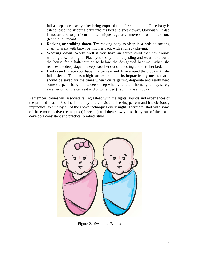fall asleep more easily after being exposed to it for some time. Once baby is asleep, ease the sleeping baby into his bed and sneak away. Obviously, if dad is not around to perform this technique regularly, move on to the next one (technique I mean!)

- **Rocking or walking down.** Try rocking baby to sleep in a bedside rocking chair, or walk with baby, patting her back with a lullaby playing.
- **Wearing down.** Works well if you have an active child that has trouble winding down at night. Place your baby in a baby sling and wear her around the house for a half-hour or so before the designated bedtime. When she reaches the deep stage of sleep, ease her out of the sling and onto her bed.
- **Last resort:** Place your baby in a car seat and drive around the block until she falls asleep. This has a high success rate but its impracticality means that it should be saved for the times when you're getting desperate and really need some sleep. If baby is in a deep sleep when you return home, you may safely ease her out of the car seat and onto her bed (Lavin, Glaser 2007).

Remember, babies will associate falling asleep with the sights, sounds and experiences of the pre-bed ritual. Routine is the key to a consistent sleeping pattern and it's obviously impractical to employ all of the above techniques every night. Therefore, start with some of these more active techniques (if needed) and then slowly ease baby out of them and develop a consistent and practical pre-bed ritual.



Figure 2. Swaddled Babies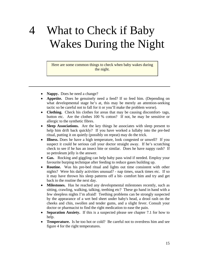### 4 What to Check if Baby Wakes During the Night

Here are some common things to check when baby wakes during the night.

- **Nappy.** Does he need a change?
- **Appetite.** Does he genuinely need a feed? If so feed him. (Depending on what developmental stage he's at, this may be merely an attention-seeking tactic so be careful not to fall for it or you'll make the problem worse).
- **Clothing.** Check his clothes for areas that may be causing discomfort- tags, button etc. Are the clothes 100 % cotton? If not, he may be sensitive or allergic to the synthetic fibres.
- **Sleep Associations.** Are the key things he associates with sleep present to help him drift back quickly? If you have worked a lullaby into the pre-bed ritual, putting it on quietly (possibly on repeat) may do the trick.
- **Illness.** Does he have a high temperature, look congested or unwell? If you suspect it could be serious call your doctor straight away. If he's scratching check to see if he has an insect bite or similar. Does he have nappy rash? If so petroleum jelly is the answer.
- **Gas.** Rocking and giggling can help baby pass wind if needed. Employ your favourite burping technique after feeding to reduce gases building up.
- **Routine.** Was his pre-bed ritual and lights out time consistent with other nights? Were his daily activities unusual? - nap times, snack times etc. If so it may have thrown his sleep patterns off a bit- comfort him and try and get back to the routine the next day.
- **Milestones.** Has he reached any developmental milestones recently, such as sitting, crawling, walking, talking, teething etc? These go hand in hand with a few sleepless nights I'm afraid! Teething problems can be strongly suspected by the appearance of a wet bed sheet under baby's head, a drool rash on the cheeks and chin, swollen and tender gums, and a slight fever. Consult your doctor or pharmacist to find the right medication to ease the pain.
- **Separation Anxiety.** If this is a suspected please see chapter 7.1 for how to help.
- **Temperature.** Is he too hot or cold? Be careful not to overdress him and see figure 4 for the right temperatures.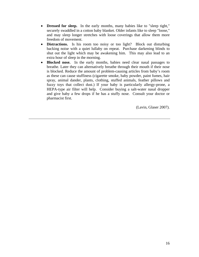- **Dressed for sleep.** In the early months, many babies like to "sleep tight," securely swaddled in a cotton baby blanket. Older infants like to sleep "loose," and may sleep longer stretches with loose coverings that allow them more freedom of movement.
- **Distractions.** Is his room too noisy or too light? Block out disturbing backing noise with a quiet lullaby on repeat. Purchase darkening blinds to shut out the light which may be awakening him. This may also lead to an extra hour of sleep in the morning.
- **Blocked nose.** In the early months, babies need clear nasal passages to breathe. Later they can alternatively breathe through their mouth if their nose is blocked. Reduce the amount of problem-causing articles from baby's room as these can cause stuffiness (cigarette smoke, baby powder, paint fumes, hair spray, animal dander, plants, clothing, stuffed animals, feather pillows and fuzzy toys that collect dust.) If your baby is particularly allergy-prone, a HEPA-type air filter will help. Consider buying a salt-water nasal dropper and give baby a few drops if he has a stuffy nose. Consult your doctor or pharmacist first.

(Lavin, Glaser 2007).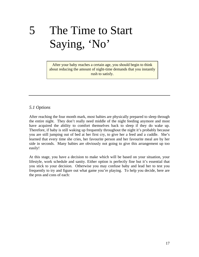### 5 The Time to Start Saying, 'No'

After your baby reaches a certain age, you should begin to think about reducing the amount of night-time demands that you instantly rush to satisfy.

### *5.1 Options*

After reaching the four month mark, most babies are physically prepared to sleep through the entire night. They don't really need middle of the night feeding anymore and most have acquired the ability to comfort themselves back to sleep if they do wake up. Therefore, if baby is still waking up frequently throughout the night it's probably because you are still jumping out of bed at her first cry, to give her a feed and a cuddle. She's learned that every time she cries, her favourite person and her favourite meal are by her side in seconds. Many babies are obviously not going to give this arrangement up too easily!

At this stage, you have a decision to make which will be based on your situation, your lifestyle, work schedule and sanity. Either option is perfectly fine but it's essential that you stick to your decision. Otherwise you may confuse baby and lead her to test you frequently to try and figure out what game you're playing. To help you decide, here are the pros and cons of each: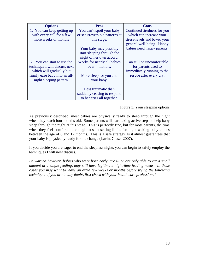| <b>Options</b>                | <b>Pros</b>                     | Cons                         |
|-------------------------------|---------------------------------|------------------------------|
| 1. You can keep getting up    | You can't spoil your baby       | Continued tiredness for you  |
| with every call for a few     | or set irreversible patterns at | which can increase your      |
| more weeks or months          | this stage.                     | stress-levels and lower your |
|                               |                                 | general well-being. Happy    |
|                               | Your baby may possibly          | babies need happy parents.   |
|                               | start sleeping through the      |                              |
|                               | night of her own accord.        |                              |
| 2. You can start to use the   | Works for nearly all babies     | Can still be uncomfortable   |
| technique I will discuss next | over 4 months.                  | for parents used to          |
| which will gradually but      |                                 | immediately running to the   |
| firmly ease baby into an all- | More sleep for you and          | rescue after every cry.      |
| night sleeping pattern.       | your baby.                      |                              |
|                               |                                 |                              |
|                               | Less traumatic than             |                              |
|                               | suddenly ceasing to respond     |                              |
|                               | to her cries all together.      |                              |

#### Figure 3. Your sleeping options

As previously described, most babies are physically ready to sleep through the night when they reach four months old. Some parents will start taking active steps to help baby sleep through the night at this stage. This is perfectly fine, but for most parents, the time when they feel comfortable enough to start setting limits for night-waking baby comes between the age of 6 and 12 months. This is a safe strategy as it almost guarantees that your baby is physically ready for the change (Lavin, Glaser 2007).

If you decide you are eager to end the sleepless nights you can begin to safely employ the techniques I will now discuss.

*Be warned however, babies who were born early, are ill or are only able to eat a small amount at a single feeding, may still have legitimate night-time feeding needs. In these cases you may want to leave an extra few weeks or months before trying the following technique. If you are in any doubt, first check with your health care professional.*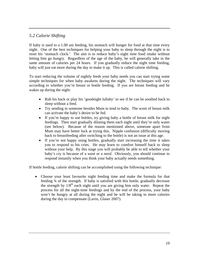### *5.2 Calorie Shifting*

If baby is used to a 1.00 am feeding, his stomach will hunger for food at that time every night. One of the best techniques for helping your baby to sleep through the night is to reset his 'stomach clock.' The aim is to reduce baby's night time food intake without letting him go hungry. Regardless of the age of the baby, he will generally take in the same amount of calories per 24 hours. If you gradually reduce the night time feeding, baby will just eat more during the day to make it up. This is called calorie shifting.

To start reducing the volume of nightly feeds your baby needs you can start trying some simple techniques for when baby awakens during the night. The techniques will vary according to whether you're breast or bottle feeding. If you are breast feeding and he wakes up during the night:

- Rub his back or play his 'goodnight lullaby' to see if he can be soothed back to sleep without a feed.
- Try sending in someone besides Mum to tend to baby. The scent of breast milk can activate the baby's desire to be fed.
- If you're happy to use bottles, try giving baby a bottle of breast milk for night feedings. Then start gradually diluting them each night until they're only water (see below). Because of the reason mentioned above, someone apart from Mum may have better luck at trying this. Nipple confusion (difficulty moving back to breastfeeding after switching to the bottle) is not an issue at this age.
- If you're not happy using bottles, gradually start increasing the time it takes you to respond to his cries. He may learn to comfort himself back to sleep without your help. By this stage you will probably be able to tell whether your baby's cry is because of a *want* or a *need*. Obviously, you should continue to respond instantly when you think your baby actually needs something.

If bottle feeding, calorie shifting can be accomplished using the following technique:

• Choose your least favourite night feeding time and make the formula for that feeding ¾ of the strength. If baby is satisfied with this bottle, gradually decrease the strength by  $1/8^{th}$  each night until you are giving him only water. Repeat the process for all the night-time feedings and by the end of the process, your baby won't be hungry at all during the night and he will be taking in more calories during the day to compensate (Lavin, Glaser 2007).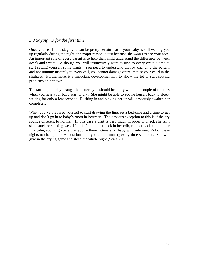#### *5.3 Saying no for the first time*

Once you reach this stage you can be pretty certain that if your baby is still waking you up regularly during the night, the major reason is just because she *wants* to see your face. An important role of every parent is to help their child understand the difference between *needs* and *wants*. Although you will instinctively want to rush to every cry it's time to start setting yourself some limits. You need to understand that by changing the pattern and not running instantly to every call, you cannot damage or traumatise your child in the slightest. Furthermore, it's important developmentally to allow the tot to start solving problems on her own.

To start to gradually change the pattern you should begin by waiting a couple of minutes when you hear your baby start to cry. She might be able to soothe herself back to sleep, waking for only a few seconds. Rushing in and picking her up will obviously awaken her completely.

When you've prepared yourself to start drawing the line, set a bed-time and a time to get up and don't go in to baby's room in-between. The obvious exception to this is if the cry sounds different to normal. In this case a visit is very much in order to check she isn't sick, stuck or soaking wet. If all is fine put her back in her crib, rub her back and tell her in a calm, soothing voice that you're there. Generally, baby will only need 2-4 of these nights to change her expectations that you come running every time she cries. She will give in the crying game and sleep the whole night (Sears 2005).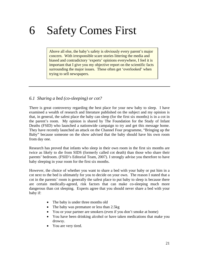### 6 Safety Comes First

Above all else, the baby's safety is obviously every parent's major concern. With irresponsible scare stories littering the media and biased and contradictory 'experts' opinions everywhere, I feel it is important that I give you my objective report on the scientific facts surrounding the major issues. These often get 'overlooked' when trying to sell newspapers.

#### *6.1 Sharing a bed (co-sleeping) or cot?*

There is great controversy regarding the best place for your new baby to sleep. I have examined a wealth of research and literature published on the subject and my opinion is that, in general, the safest place the baby can sleep (for the first six months) is in a cot in the parent's room. My opinion is shared by The Foundation for the Study of Infant Deaths (FSID) who launched a nationwide campaign to try and get this message home. They have recently launched an attack on the Channel Four programme, "Bringing up the Baby" because someone on the show advised that the baby should have his own room from day one.

Research has proved that infants who sleep in their own room in the first six months are twice as likely to die from SIDS (formerly called cot death) than those who share their parents' bedroom. (FSID's Editorial Team, 2007). I strongly advise you therefore to have baby sleeping in your room for the first six months.

However, the choice of whether you want to share a bed with your baby or put him in a cot next to the bed is ultimately for you to decide on your own. The reason I stated that a cot in the parents' room is generally the safest place to put baby to sleep is because there are certain medically-agreed, risk factors that can make co-sleeping much more dangerous than cot sleeping. Experts agree that you should never share a bed with your baby if:

- The baby is under three months old
- The baby was premature or less than 2.5kg
- You or your partner are smokers (even if you don't smoke at home)
- You have been drinking alcohol or have taken medications that make you drowsy.
- You are very tired.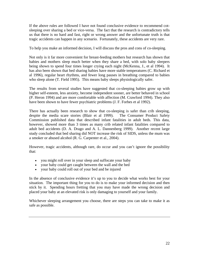If the above rules are followed I have not found conclusive evidence to recommend cotsleeping over sharing a bed or vice-versa. The fact that the research is contradictory tells us that there is no hard and fast, right or wrong answer and the unfortunate truth is that tragic accidents can happen in any scenario. Fortunately, these accidents are very rare.

To help you make an informed decision, I will discuss the pros and cons of co-sleeping.

Not only is it far more convenient for breast-feeding mothers but research has shown that babies and mothers sleep much better when they share a bed, with solo baby sleepers being shown to spend four times longer crying each night (McKenna, J., et al 1994). It has also been shown that bed sharing babies have more stable temperatures (C. Richard et al 1996), regular heart rhythms, and fewer long pauses in breathing compared to babies who sleep alone (T. Field 1995). This means baby sleeps physiologically safer.

The results from several studies have suggested that co-sleeping babies grow up with higher self-esteem, less anxiety, become independent sooner, are better behaved in school (P. Heron 1994) and are more comfortable with affection (M. Crawford 1994). They also have been shown to have fewer psychiatric problems (J. F. Forbes et al 1992).

There has actually been research to show that co-sleeping is safer than crib sleeping, despite the media scare stories (Blair et al 1999). The Consumer Product Safety Commission published data that described infant fatalities in adult beds. This data, however, showed more than 3 times as many crib related infant fatalities compared to adult bed accidents (D. A. Drago and A. L. Dannenberg 1999). Another recent large study concluded that bed sharing did NOT increase the risk of SIDS, unless the mum was a smoker or abused alcohol (R. G. Carpenter et al., 2004).

However, tragic accidents, although rare, do occur and you can't ignore the possibility that:

- you might roll over in your sleep and suffocate your baby
- your baby could get caught between the wall and the bed
- your baby could roll out of your bed and be injured

In the absence of conclusive evidence it's up to you to decide what works best for your situation. The important thing for you to do is to make your informed decision and then stick by it. Spending hours fretting that you may have made the wrong decision and placed your baby at an elevated risk is only damaging to yourself and your family.

Whichever sleeping arrangement you choose, there are steps you can take to make it as safe as possible.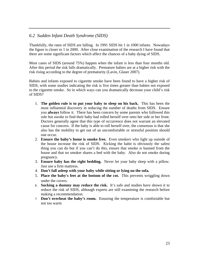#### *6.2 Sudden Infant Death Syndrome (SIDS)*

Thankfully, the rates of SIDS are falling. In 1991 SIDS hit 1 in 1000 infants. Nowadays the figure is closer to 1 in 2000. After close examination of the research I have found that there are some significant factors which affect the chances of a baby dying of SIDS.

Most cases of SIDS (around 75%) happen when the infant is less than four months old. After this period the risk falls dramatically. Premature babies are at a higher risk with the risk rising according to the degree of prematurity (Lavin, Glaser 2007).

Babies and infants exposed to cigarette smoke have been found to have a higher risk of SIDS, with some studies indicating the risk is five times greater than babies not exposed to the cigarette smoke. So in which ways can you dramatically decrease your child's risk of SIDS?

- 1. **The golden rule is to put your baby to sleep on his back.** This has been the most influential discovery in reducing the number of deaths from SIDS. Ensure you **always** follow it. There has been concern by some parents who followed this rule but awoke to find their baby had rolled herself over onto her side or her front. Doctors generally agree that this type of occurrence does not warrant an elevated cause for concern. If the baby is able to roll herself over, the consensus is that she also has the mobility to get out of an uncomfortable or stressful position should one occur.
- 2. **Ensure the baby's home is smoke free.** Even smokers who light up outside of the house increase the risk of SIDS. Kicking the habit is obviously the safest thing you can do but if you can't do this, ensure that smoke is banned from the house and that no smoker shares a bed with the baby. Also do not smoke during pregnancy.
- 3. **Ensure baby has the right bedding.** Never let your baby sleep with a pillow. Just use a firm mattress.
- 4. **Don't fall asleep with your baby while sitting or lying on the sofa.**
- 5. **Place the baby's feet at the bottom of the cot.** This prevents wriggling down under the covers.
- 6. **Sucking a dummy may reduce the risk.** It's safe and studies have shown it to reduce the risk of SIDS, although experts are still examining the research before making a recommendation.
- 7. **Don't overheat the baby's room.** Ensuring the temperature is comfortable but not too warm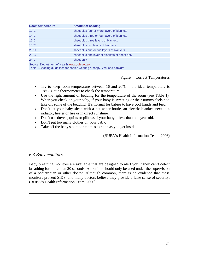| <b>Room temperature</b>                     | <b>Amount of bedding</b>                       |  |
|---------------------------------------------|------------------------------------------------|--|
| $12^{\circ}$ C                              | sheet plus four or more layers of blankets     |  |
| $14^{\circ}$ C                              | sheet plus three or four layers of blankets    |  |
| $16^{\circ}$ C                              | sheet plus three layers of blankets            |  |
| $18^{\circ}$ C                              | sheet plus two layers of blankets              |  |
| $20^{\circ}$ C                              | sheet plus one or two layers of blankets       |  |
| $22^{\circ}$ C                              | sheet plus one layer of blankets or sheet only |  |
| $24^{\circ}$ C                              | sheet only                                     |  |
| Source: Department of Health www.doh.gov.uk |                                                |  |

Table 1.Bedding guidelines for babies wearing a nappy, vest and babygro.

Figure 4. Correct Temperatures

- Try to keep room temperature between 16 and  $20^{\circ}$ C the ideal temperature is 18°C. Get a thermometer to check the temperature.
- Use the right amount of bedding for the temperature of the room (see Table 1). When you check on your baby, if your baby is sweating or their tummy feels hot, take off some of the bedding. It's normal for babies to have cool hands and feet.
- Don't let your baby sleep with a hot water bottle, an electric blanket, next to a radiator, heater or fire or in direct sunshine.
- Don't use duvets, quilts or pillows if your baby is less than one year old.
- Don't put too many clothes on your baby.
- Take off the baby's outdoor clothes as soon as you get inside.

(BUPA's Health Information Team, 2006)

#### *6.3 Baby monitors*

Baby breathing monitors are available that are designed to alert you if they can't detect breathing for more than 20 seconds. A monitor should only be used under the supervision of a pediatrician or other doctor. Although common, there is no evidence that these monitors prevent SIDS, and many doctors believe they provide a false sense of security. (BUPA's Health Information Team, 2006)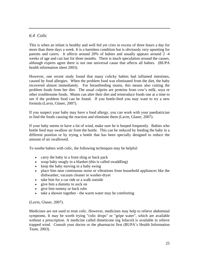### *6.4 Colic*

This is when an infant is healthy and well fed yet cries in excess of three hours a day for more than three days a week. It is a harmless condition but is obviously very upsetting for parents and carers. It affects around 20% of babies and usually appears around 2 -4 weeks of age and can last for three months. There is much speculation around the causes, although experts agree there is not one universal cause that affects all babies. (BUPA health information sheet 2003).

However, one recent study found that many colicky babies had inflamed intestines, caused by food allergies. When the problem food was eliminated from the diet, the baby recovered almost immediately. For breastfeeding mums, this means also cutting the problem foods from her diet. The usual culprits are proteins from cow's milk, soya or other troublesome foods. Mums can alter their diet and reintroduce foods one at a time to see if the problem food can be found. If you bottle-feed you may want to try a new formula (Lavin, Glaser, 2007).

If you suspect your baby may have a food allergy, you can work with your paediatrician to find the foods causing the reaction and eliminate them (Lavin, Glaser, 2007).

If your baby seems to have a lot of wind, make sure he is burped frequently. Babies who bottle feed may swallow air from the bottle. This can be reduced by feeding the baby in a different position or by trying a bottle that has been specially designed to reduce the amount of air swallowed.

To soothe babies with colic, the following techniques may be helpful:

- carry the baby in a front sling or back pack
- wrap baby snugly in a blanket (this is called swaddling)
- keep the baby moving in a baby swing
- place him near continuous noise or vibrations from household appliances like the dishwasher, vacuum cleaner or washer-dryer
- take him for a car ride or a walk outside
- give him a dummy to suck on
- give him tummy or back rubs
- take a shower together the warm water may be comforting

(Lavin, Glaser, 2007).

Medicines are not used to treat colic. However, medicines may help to relieve abdominal symptoms. It may be worth trying "colic drops" or "gripe water", which are available without a prescription. A medicine called dimeticone (eg Infacol) is available to relieve trapped wind. Consult your doctor or the pharmacist first (BUPA's Health Information Team. 2003).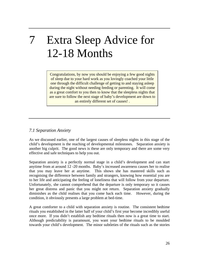### 7 Extra Sleep Advice for 12-18 Months

Congratulations, by now you should be enjoying a few good nights of sleep due to your hard work as you lovingly coached your little one through the difficult challenge of getting to and staying asleep during the night without needing feeding or parenting. It will come as a great comfort to you then to know that the sleepless nights that are sure to follow the next stage of baby's development are down to an entirely different set of causes! .

### *7.1 Separation Anxiety*

As we discussed earlier, one of the largest causes of sleepless nights in this stage of the child's development is the reaching of developmental milestones. Separation anxiety is another big culprit. The good news is these are only temporary and there are some very effective and safe techniques to help you out.

Separation anxiety is a perfectly normal stage in a child's development and can start anytime from at around 12 -20 months. Baby's increased awareness causes her to realise that you may leave her at anytime. This shows she has mastered skills such as recognising the difference between family and strangers, knowing how essential you are to her life and anticipating the feeling of loneliness that will follow from your departure. Unfortunately, she cannot comprehend that the departure is only temporary so it causes her great distress and panic that you might not return. Separation anxiety gradually diminishes as the child realises that you come back each time. However, during the condition, it obviously presents a large problem at bed-time.

A great comforter to a child with separation anxiety is routine. The consistent bedtime rituals you established in the latter half of your child's first year become incredibly useful once more. If you didn't establish any bedtime rituals then now is a great time to start. Although predictability is paramount, you want your bedtime rituals to be moulded towards your child's development. The minor subtleties of the rituals such as the stories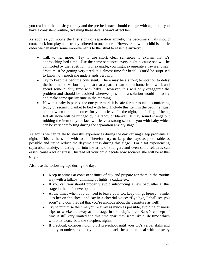you read her, the music you play and the pre-bed snack should change with age but if you have a consistent routine, tweaking these details won't affect her.

As soon as you notice the first signs of separation anxiety, the bed-time rituals should come back into play and strictly adhered to once more. However, now the child is a little older we can make some improvements to the ritual to ease the anxiety:

- Talk to her more. Try to use short, clear sentences to explain that it's approaching bed-time. Use the same sentences every night because she will be comforted by the repetition. For example, you might exaggerate a yawn and say: "You must be getting very tired- it's almost time for bed!" You'd be surprised to know how much she understands verbally.
- Try to keep the bedtime consistent. There may be a strong temptation to delay the bedtime on various nights so that a partner can return home from work and spend some quality time with baby. However, this will only exaggerate the problem and should be avoided wherever possible- a solution would be to try and make some quality time in the morning.
- Now that baby is passed the one year mark it is safe for her to take a comforting teddy or security blanket to bed with her. Include this item in the bedtime ritual so that when the time comes for you to leave for the night, the feeling of being left all alone will be bridged by the teddy or blanket. It may sound strange but rubbing the item on your face will leave a strong scent of you with baby which can be very comforting during the separation anxiety stage.

As adults we can relate to stressful experiences during the day causing sleep problems at night. This is the same with tots. Therefore try to keep the days as predictable as possible and try to reduce the daytime stress during this stage. For a tot experiencing separation anxiety, thrusting her into the arms of strangers and even some relatives can easily cause a lot of stress. Instead let your child decide how sociable she will be at this stage.

Also use the following tips during the day:

- Keep naptimes at consistent times of day and prepare for them in the routine way with a lullaby, dimming of lights, a cuddle etc.
- If you can you should probably avoid introducing a new babysitter at this stage in the tot's development.
- At the times when you do need to leave your tot, keep things breezy. Smile, kiss her on the cheek and say in a cheerful voice: "Bye bye, I shall see you soon" and don't reveal that you're anxious about the departure as well!
- Try to minimise the time you're away as much as possible, avoiding business trips or weekends away at this stage in the baby's life. Baby's concept of time is still very limited and this time apart may seem like a life time which will only exacerbate the sleepless nights.
- If practical, consider holding off pre-school until your tot's verbal skills and ability to understand that you do come back, helps them deal with the scary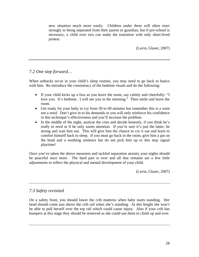new situation much more easily. Children under three will often react strongly to being separated from their parent or guardian, but if pre-school is necessary, a child over two can make the transition with only short-lived protest.

(Lavin, Glaser, 2007)

### *7.2 One step forward…*

When setbacks occur in your child's sleep routine, you may need to go back to basics with him. Re-introduce the consistency of the bedtime rituals and do the following:

- If your child kicks up a fuss as you leave the room, say calmly and cheerfully: "I love you. It's bedtime. I will see you in the morning." Then smile and leave the room.
- Get ready for your baby to cry from 30 to 60 minutes but remember this is a *want* not a *need*. Don't give in to his demands or you will only reinforce his confidence in this technique's effectiveness and you'll increase the problem.
- In the middle of the night, analyse the cries and decide honestly, if you think he's really in *need* or if he only *wants* attention. If you're sure it's just the latter, be strong and wait him out. This will give him the chance to cry it out and learn to comfort himself back to sleep. If you must go back in the room, give him a pat on the head and a soothing sentence but do not pick him up or this may signal playtime!

Once you've taken the above measures and tackled separation anxiety your nights should be peaceful once more. The hard part is over and all that remains are a few little adjustments to reflect the physical and mental development of your child.

(Lavin, Glaser, 2007)

### *7.3 Safety revisited*

On a safety front, you should lower the crib mattress when baby starts standing. Her head should come just above the crib rail when she's standing. At this height she won't be able to pull herself over the top rail which could cause injury. Also if your crib has bumpers at this stage they should be removed as she could use them to climb up and over.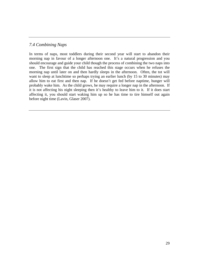#### *7.4 Combining Naps*

In terms of naps, most toddlers during their second year will start to abandon their morning nap in favour of a longer afternoon one. It's a natural progression and you should encourage and guide your child though the process of combining the two naps into one. The first sign that the child has reached this stage occurs when he refuses the morning nap until later on and then hardly sleeps in the afternoon. Often, the tot will want to sleep at lunchtime so perhaps trying an earlier lunch (by 15 to 30 minutes) may allow him to eat first and then nap. If he doesn't get fed before naptime, hunger will probably wake him. As the child grows, he may require a longer nap in the afternoon. If it is not affecting his night sleeping then it's healthy to leave him to it. If it does start affecting it, you should start waking him up so he has time to tire himself out again before night time (Lavin, Glaser 2007).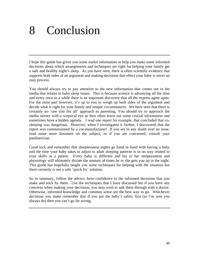### 8 Conclusion

I hope this guide has given you some useful information to help you make some informed decisions about which arrangements and techniques are right for helping your family get a safe and healthy night's sleep. As you have seen, there is often scientific evidence that supports both sides of an argument and making decisions that effect your baby is never an easy process.

You should always try to pay attention to the new information that comes out in the media that relates to baby sleep issues. This is because science is advancing all the time and every once in a while there is an important discovery that all the experts agree upon. For the most part however, it's up to you to weigh up both sides of the argument and decide what is right for your family and unique circumstances. We have seen that there is certainly no 'one size fits all' approach to parenting. You should try to approach the media stories with a sceptical eye as they often leave out some crucial information and sometimes have a hidden agenda. I read one report for example, that concluded that cosleeping was dangerous. However, when I investigated it further, I discovered that the report was commissioned by a cot-manufacturer! If you are in any doubt over an issue, read some more literature on the subject, or if you are concerned, consult your paediatrician.

Good luck and remember that sleeplessness nights go hand in hand with having a baby and the time your baby takes to adjust to adult sleeping patterns is in no way related to your skills as a parent. Every baby is different and his or her temperament and physiology will ultimately dictate the amount of times he or she gets you up in the night. This guide has hopefully taught you some techniques for helping with the situation but there certainly is not a safe 'quick fix' solution.

So in summary, follow the advice, have confidence in the informed decisions that you make and stick by them. Use the techniques that I have discussed but if you have any concerns when making your decisions, you may wish to talk them through with a doctor. Otherwise, informed knowledge and common sense are the best way to go. Whichever decisions you make remember that if you put the baby's safety first (as I'm sure you always do) then you can't go far wrong.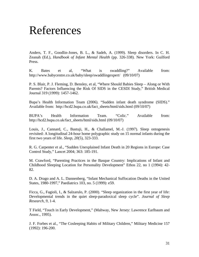### References

Anders, T. F., Goodlin-Jones, B. L., & Sadeh, A. (1999). Sleep disorders. In C. H. Zeanah (Ed.), *Handbook of Infant Mental Health* (pp. 326-338). New York: Guilford Press.

K. Bates et al, "What is swaddling?" Available from: http://www.babycentre.co.uk/baby/sleep/swaddlingexpert/ (09/10/07)

P. S. Blair, P. J. Fleming, D. Bensley, et al, "Where Should Babies Sleep – Along or With Parents? Factors Influencing the Risk Of SIDS in the CESDI Study," British Medical Journal 319 (1999): 1457-1462.

Bupa's Health Information Team (2006). "Sudden infant death syndrome (SIDS)." Available from: http://hcd2.bupa.co.uk/fact\_sheets/html/sids.html (09/10/07)

BUPA's Health Information Team. "Colic." Available from: http://hcd2.bupa.co.uk/fact\_sheets/html/sids.html (09/10/07)

Louis, J., Cannard, C., Bastuji, H., & Challamel, M.-J. (1997). Sleep ontogenesis revisited: A longitudinal 24-hour home polygraphic study on 15 normal infants during the first two years of life. *Sleep, 20*(5), 323-333.

R. G. Carpenter et al., "Sudden Unexplained Infant Death in 20 Regions in Europe: Case Control Study," Lancet 2004; 363: 185-191.

M. Crawford, "Parenting Practices in the Basque Country: Implications of Infant and Childhood Sleeping Location for Personality Development" Ethos 22, no 1 (1994): 42- 82.

D. A. Drago and A. L. Dannenberg, "Infant Mechanical Suffocation Deaths in the United States, 1980-1997," Paediatrics 103, no. 5 (1999): e59.

Ficca, G., Fagioli, I., & Salzarulo, P. (2000). "Sleep organization in the first year of life: Developmental trends in the quiet sleep-paradoxical sleep cycle". *Journal of Sleep Research, 9*, 1-4.

T Field, "Touch in Early Development," (Mahway, New Jersey: Lawrence Earlbaum and Assoc., 1995).

J. F. Forbes et al., "The Cosleeping Habits of Military Children," Military Medicine 157 (1992): 196-200.